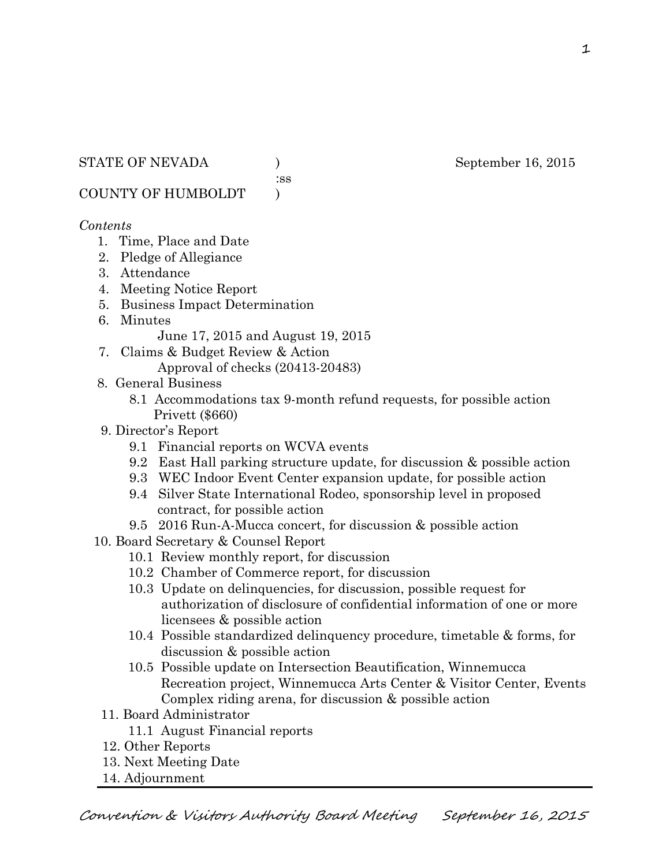:ss

COUNTY OF HUMBOLDT )

### *Contents*

- 1. Time, Place and Date
- 2. Pledge of Allegiance
- 3. Attendance
- 4. Meeting Notice Report
- 5. Business Impact Determination
- 6. Minutes

June 17, 2015 and August 19, 2015

- 7. Claims & Budget Review & Action
	- Approval of checks (20413-20483)
- 8. General Business
	- 8.1 Accommodations tax 9-month refund requests, for possible action Privett (\$660)
- 9. Director's Report
	- 9.1 Financial reports on WCVA events
	- 9.2 East Hall parking structure update, for discussion & possible action
	- 9.3 WEC Indoor Event Center expansion update, for possible action
	- 9.4 Silver State International Rodeo, sponsorship level in proposed contract, for possible action
	- 9.5 2016 Run-A-Mucca concert, for discussion & possible action
- 10. Board Secretary & Counsel Report
	- 10.1 Review monthly report, for discussion
	- 10.2 Chamber of Commerce report, for discussion
	- 10.3 Update on delinquencies, for discussion, possible request for authorization of disclosure of confidential information of one or more licensees & possible action
	- 10.4 Possible standardized delinquency procedure, timetable & forms, for discussion & possible action
	- 10.5 Possible update on Intersection Beautification, Winnemucca Recreation project, Winnemucca Arts Center & Visitor Center, Events Complex riding arena, for discussion & possible action
- 11. Board Administrator
	- 11.1 August Financial reports
- 12. Other Reports
- 13. Next Meeting Date
- 14. Adjournment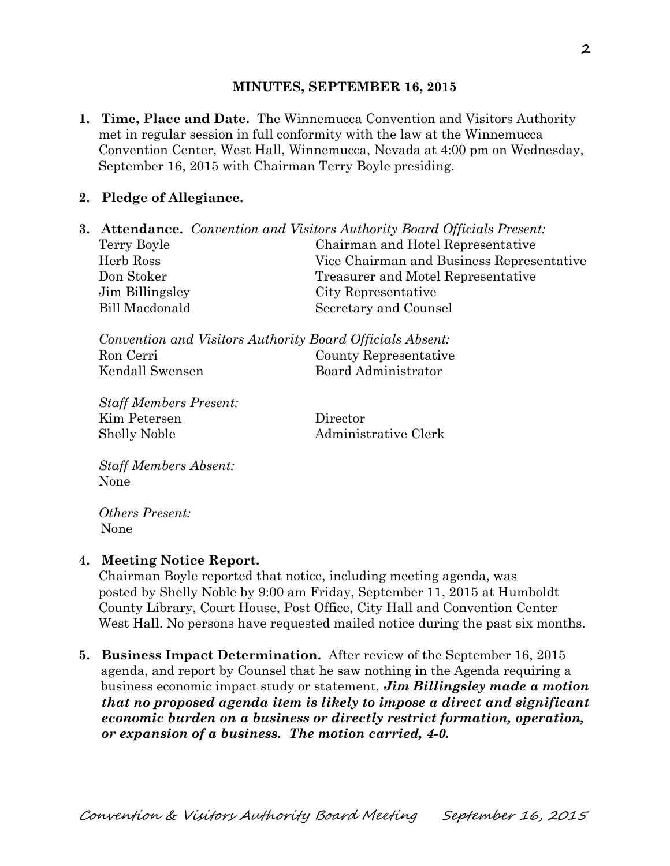#### **MINUTES, SEPTEMBER 16, 2015**

**1. Time, Place and Date.** The Winnemucca Convention and Visitors Authority met in regular session in full conformity with the law at the Winnemucca Convention Center, West Hall, Winnemucca, Nevada at 4:00 pm on Wednesday, September 16, 2015 with Chairman Terry Boyle presiding.

## **2. Pledge of Allegiance.**

|                 | <b>3. Attendance.</b> Convention and Visitors Authority Board Officials Present: |
|-----------------|----------------------------------------------------------------------------------|
| Terry Boyle     | Chairman and Hotel Representative                                                |
| Herb Ross       | Vice Chairman and Business Representative                                        |
| Don Stoker      | Treasurer and Motel Representative                                               |
| Jim Billingsley | City Representative                                                              |
| Bill Macdonald  | Secretary and Counsel                                                            |

| Convention and Visitors Authority Board Officials Absent: |                       |
|-----------------------------------------------------------|-----------------------|
| Ron Cerri                                                 | County Representative |
| Kendall Swensen                                           | Board Administrator   |

*Staff Members Present:*  Kim Petersen Director Shelly Noble Administrative Clerk

*Staff Members Absent:*  None

*Others Present:*  None

### **4. Meeting Notice Report.**

Chairman Boyle reported that notice, including meeting agenda, was posted by Shelly Noble by 9:00 am Friday, September 11, 2015 at Humboldt County Library, Court House, Post Office, City Hall and Convention Center West Hall. No persons have requested mailed notice during the past six months.

**5. Business Impact Determination.** After review of the September 16, 2015 agenda, and report by Counsel that he saw nothing in the Agenda requiring a business economic impact study or statement, *Jim Billingsley made a motion that no proposed agenda item is likely to impose a direct and significant economic burden on a business or directly restrict formation, operation, or expansion of a business. The motion carried, 4-0.*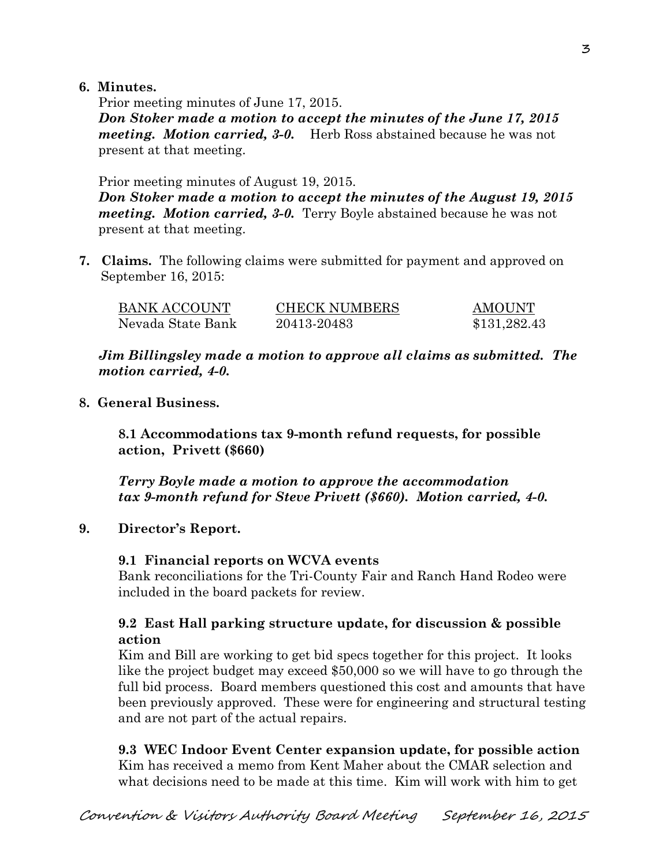### **6. Minutes.**

Prior meeting minutes of June 17, 2015. *Don Stoker made a motion to accept the minutes of the June 17, 2015 meeting. Motion carried, 3-0.* Herb Ross abstained because he was not present at that meeting.

Prior meeting minutes of August 19, 2015. *Don Stoker made a motion to accept the minutes of the August 19, 2015 meeting. Motion carried, 3-0.* Terry Boyle abstained because he was not present at that meeting.

**7. Claims.** The following claims were submitted for payment and approved on September 16, 2015:

| <b>BANK ACCOUNT</b> | <b>CHECK NUMBERS</b> | AMOUNT       |
|---------------------|----------------------|--------------|
| Nevada State Bank   | 20413-20483          | \$131,282.43 |

*Jim Billingsley made a motion to approve all claims as submitted. The motion carried, 4-0.* 

**8. General Business.** 

**8.1 Accommodations tax 9-month refund requests, for possible action, Privett (\$660)** 

*Terry Boyle made a motion to approve the accommodation tax 9-month refund for Steve Privett (\$660). Motion carried, 4-0.*

# **9. Director's Report.**

### **9.1 Financial reports on WCVA events**

Bank reconciliations for the Tri-County Fair and Ranch Hand Rodeo were included in the board packets for review.

## **9.2 East Hall parking structure update, for discussion & possible action**

Kim and Bill are working to get bid specs together for this project. It looks like the project budget may exceed \$50,000 so we will have to go through the full bid process. Board members questioned this cost and amounts that have been previously approved. These were for engineering and structural testing and are not part of the actual repairs.

# **9.3 WEC Indoor Event Center expansion update, for possible action**

Kim has received a memo from Kent Maher about the CMAR selection and what decisions need to be made at this time. Kim will work with him to get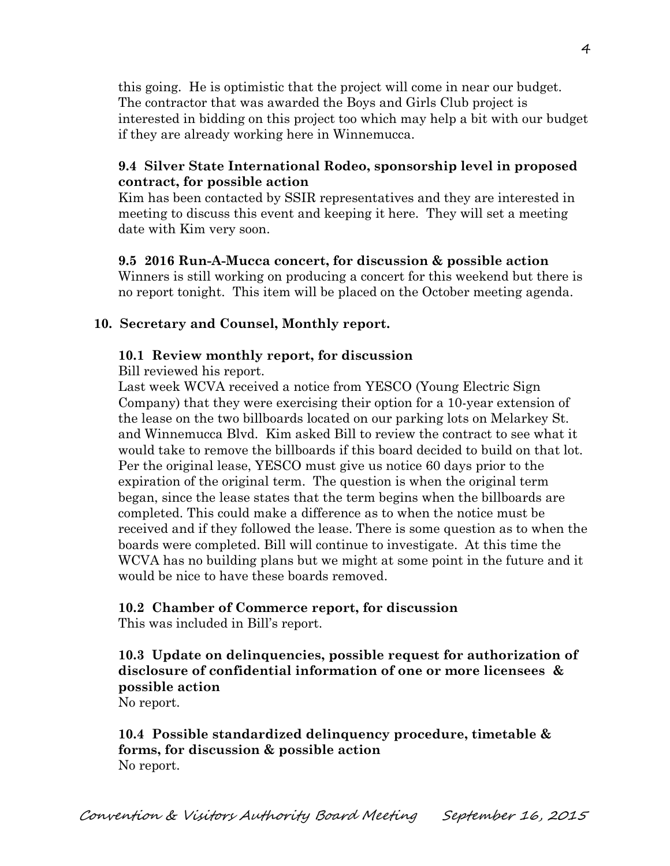this going. He is optimistic that the project will come in near our budget. The contractor that was awarded the Boys and Girls Club project is interested in bidding on this project too which may help a bit with our budget if they are already working here in Winnemucca.

### **9.4 Silver State International Rodeo, sponsorship level in proposed contract, for possible action**

Kim has been contacted by SSIR representatives and they are interested in meeting to discuss this event and keeping it here. They will set a meeting date with Kim very soon.

## **9.5 2016 Run-A-Mucca concert, for discussion & possible action**

Winners is still working on producing a concert for this weekend but there is no report tonight. This item will be placed on the October meeting agenda.

# **10. Secretary and Counsel, Monthly report.**

## **10.1 Review monthly report, for discussion**

Bill reviewed his report.

Last week WCVA received a notice from YESCO (Young Electric Sign Company) that they were exercising their option for a 10-year extension of the lease on the two billboards located on our parking lots on Melarkey St. and Winnemucca Blvd. Kim asked Bill to review the contract to see what it would take to remove the billboards if this board decided to build on that lot. Per the original lease, YESCO must give us notice 60 days prior to the expiration of the original term. The question is when the original term began, since the lease states that the term begins when the billboards are completed. This could make a difference as to when the notice must be received and if they followed the lease. There is some question as to when the boards were completed. Bill will continue to investigate. At this time the WCVA has no building plans but we might at some point in the future and it would be nice to have these boards removed.

# **10.2 Chamber of Commerce report, for discussion**

This was included in Bill's report.

# **10.3 Update on delinquencies, possible request for authorization of disclosure of confidential information of one or more licensees & possible action**

No report.

# **10.4 Possible standardized delinquency procedure, timetable & forms, for discussion & possible action**  No report.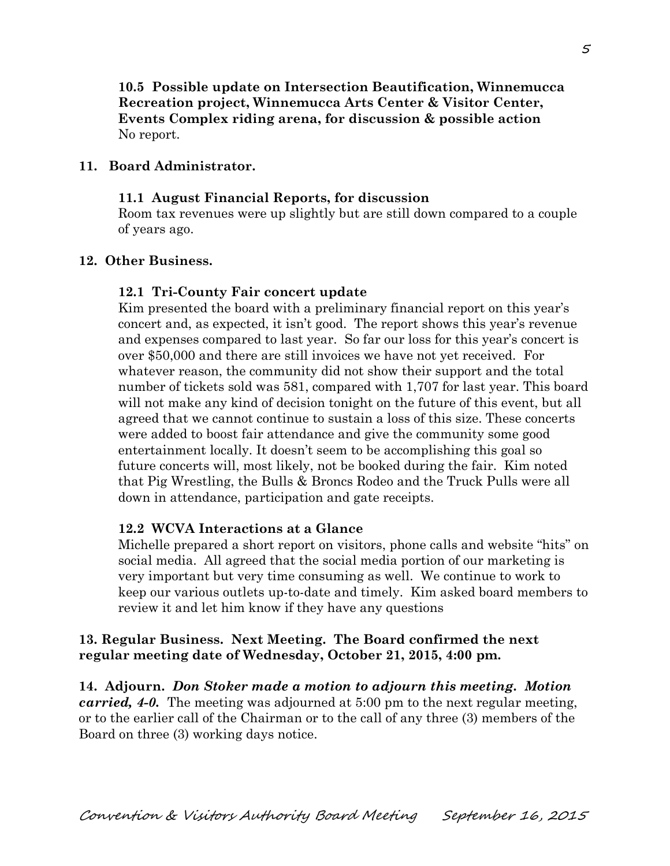**10.5 Possible update on Intersection Beautification, Winnemucca Recreation project, Winnemucca Arts Center & Visitor Center, Events Complex riding arena, for discussion & possible action**  No report.

#### **11. Board Administrator.**

#### **11.1 August Financial Reports, for discussion**

Room tax revenues were up slightly but are still down compared to a couple of years ago.

#### **12. Other Business.**

#### **12.1 Tri-County Fair concert update**

Kim presented the board with a preliminary financial report on this year's concert and, as expected, it isn't good. The report shows this year's revenue and expenses compared to last year. So far our loss for this year's concert is over \$50,000 and there are still invoices we have not yet received. For whatever reason, the community did not show their support and the total number of tickets sold was 581, compared with 1,707 for last year. This board will not make any kind of decision tonight on the future of this event, but all agreed that we cannot continue to sustain a loss of this size. These concerts were added to boost fair attendance and give the community some good entertainment locally. It doesn't seem to be accomplishing this goal so future concerts will, most likely, not be booked during the fair. Kim noted that Pig Wrestling, the Bulls & Broncs Rodeo and the Truck Pulls were all down in attendance, participation and gate receipts.

#### **12.2 WCVA Interactions at a Glance**

Michelle prepared a short report on visitors, phone calls and website "hits" on social media. All agreed that the social media portion of our marketing is very important but very time consuming as well. We continue to work to keep our various outlets up-to-date and timely. Kim asked board members to review it and let him know if they have any questions

#### **13. Regular Business. Next Meeting. The Board confirmed the next regular meeting date of Wednesday, October 21, 2015, 4:00 pm.**

**14. Adjourn.** *Don Stoker made a motion to adjourn this meeting. Motion carried, 4-0.* The meeting was adjourned at 5:00 pm to the next regular meeting, or to the earlier call of the Chairman or to the call of any three (3) members of the Board on three (3) working days notice.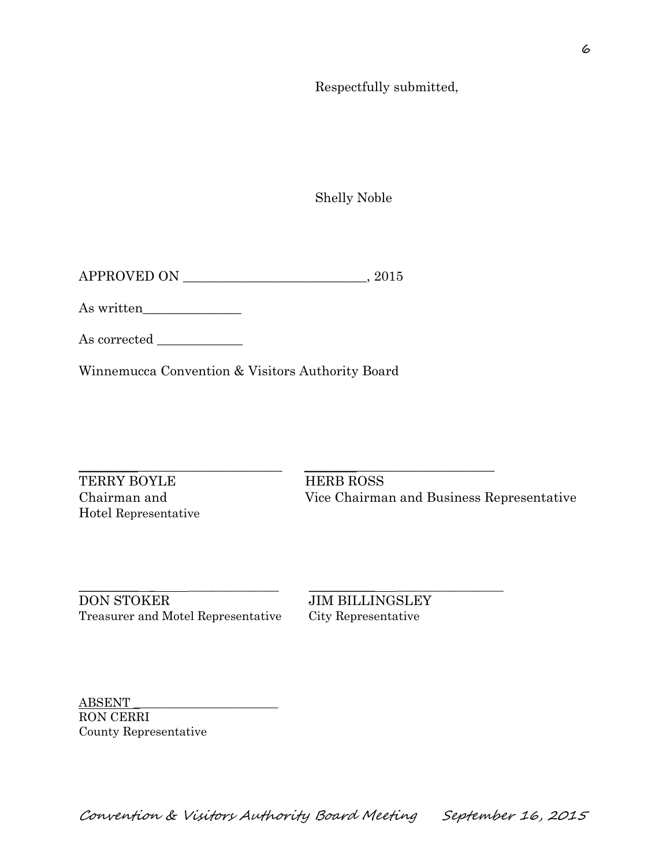Respectfully submitted,

Shelly Noble

APPROVED ON \_\_\_\_\_\_\_\_\_\_\_\_\_\_\_\_\_\_\_\_\_\_\_\_\_\_\_\_, 2015

As written\_\_\_\_\_\_\_\_\_\_\_\_\_\_\_

As corrected

Winnemucca Convention & Visitors Authority Board

 $\_$  ,  $\_$  ,  $\_$  ,  $\_$  ,  $\_$  ,  $\_$  ,  $\_$  ,  $\_$  ,  $\_$  ,  $\_$  ,  $\_$  ,  $\_$  ,  $\_$  ,  $\_$  ,  $\_$  ,  $\_$  ,  $\_$  ,  $\_$  ,  $\_$  ,  $\_$  ,  $\_$  ,  $\_$  ,  $\_$  ,  $\_$  ,  $\_$  ,  $\_$  ,  $\_$  ,  $\_$  ,  $\_$  ,  $\_$  ,  $\_$  ,  $\_$  ,  $\_$  ,  $\_$  ,  $\_$  ,  $\_$  ,  $\_$  , TERRY BOYLE HERB ROSS Hotel Representative

Chairman and Vice Chairman and Business Representative

\_\_\_\_\_\_\_\_\_\_ \_ \_\_\_\_\_\_\_\_\_\_\_\_\_\_\_ \_\_\_\_\_\_\_\_\_\_\_ \_\_\_\_\_\_\_\_\_\_\_\_\_\_\_\_\_\_ DON STOKER JIM BILLINGSLEY Treasurer and Motel Representative City Representative

ABSENT \_\_\_\_\_\_\_\_\_\_\_\_\_\_\_\_\_\_\_\_\_\_\_\_ RON CERRI County Representative